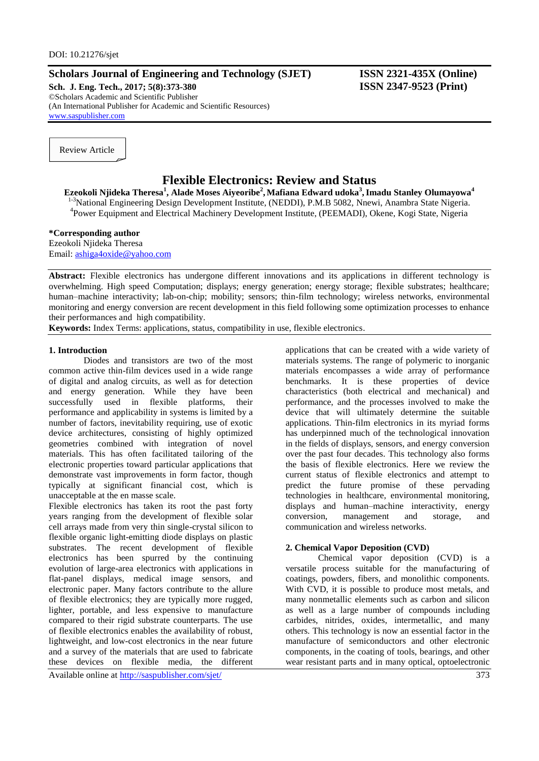# **Scholars Journal of Engineering and Technology (SJET) ISSN 2321-435X (Online)**

**Sch. J. Eng. Tech., 2017; 5(8):373-380 ISSN 2347-9523 (Print)** ©Scholars Academic and Scientific Publisher (An International Publisher for Academic and Scientific Resources) [www.saspublisher.com](http://www.saspublisher.com/)

Review Article

# **Flexible Electronics: Review and Status**

**Ezeokoli Njideka Theresa<sup>1</sup> , Alade Moses Aiyeoribe<sup>2</sup> , Mafiana Edward udoka<sup>3</sup> ,Imadu Stanley Olumayowa<sup>4</sup>** <sup>1-3</sup>National Engineering Design Development Institute, (NEDDI), P.M.B 5082, Nnewi, Anambra State Nigeria. 4 Power Equipment and Electrical Machinery Development Institute, (PEEMADI), Okene, Kogi State, Nigeria

# **\*Corresponding author**

Ezeokoli Njideka Theresa Email: [ashiga4oxide@yahoo.com](mailto:ashiga4oxide@yahoo.com)

**Abstract:** Flexible electronics has undergone different innovations and its applications in different technology is overwhelming. High speed Computation; displays; energy generation; energy storage; flexible substrates; healthcare; human–machine interactivity; lab-on-chip; mobility; sensors; thin-film technology; wireless networks, environmental monitoring and energy conversion are recent development in this field following some optimization processes to enhance their performances and high compatibility.

**Keywords:** Index Terms: applications, status, compatibility in use, flexible electronics.

### **1. Introduction**

Diodes and transistors are two of the most common active thin-film devices used in a wide range of digital and analog circuits, as well as for detection and energy generation. While they have been successfully used in flexible platforms, their performance and applicability in systems is limited by a number of factors, inevitability requiring, use of exotic device architectures, consisting of highly optimized geometries combined with integration of novel materials. This has often facilitated tailoring of the electronic properties toward particular applications that demonstrate vast improvements in form factor, though typically at significant financial cost, which is unacceptable at the en masse scale.

Flexible electronics has taken its root the past forty years ranging from the development of flexible solar cell arrays made from very thin single-crystal silicon to flexible organic light-emitting diode displays on plastic substrates. The recent development of flexible electronics has been spurred by the continuing evolution of large-area electronics with applications in flat-panel displays, medical image sensors, and electronic paper. Many factors contribute to the allure of flexible electronics; they are typically more rugged, lighter, portable, and less expensive to manufacture compared to their rigid substrate counterparts. The use of flexible electronics enables the availability of robust, lightweight, and low-cost electronics in the near future and a survey of the materials that are used to fabricate these devices on flexible media, the different

Available online at<http://saspublisher.com/sjet/> 373

applications that can be created with a wide variety of materials systems. The range of polymeric to inorganic materials encompasses a wide array of performance benchmarks. It is these properties of device characteristics (both electrical and mechanical) and performance, and the processes involved to make the device that will ultimately determine the suitable applications. Thin-film electronics in its myriad forms has underpinned much of the technological innovation in the fields of displays, sensors, and energy conversion over the past four decades. This technology also forms the basis of flexible electronics. Here we review the current status of flexible electronics and attempt to predict the future promise of these pervading technologies in healthcare, environmental monitoring, displays and human–machine interactivity, energy conversion, management and storage, and communication and wireless networks.

#### **2. Chemical Vapor Deposition (CVD)**

Chemical vapor deposition (CVD) is a versatile process suitable for the manufacturing of coatings, powders, fibers, and monolithic components. With CVD, it is possible to produce most metals, and many nonmetallic elements such as carbon and silicon as well as a large number of compounds including carbides, nitrides, oxides, intermetallic, and many others. This technology is now an essential factor in the manufacture of semiconductors and other electronic components, in the coating of tools, bearings, and other wear resistant parts and in many optical, optoelectronic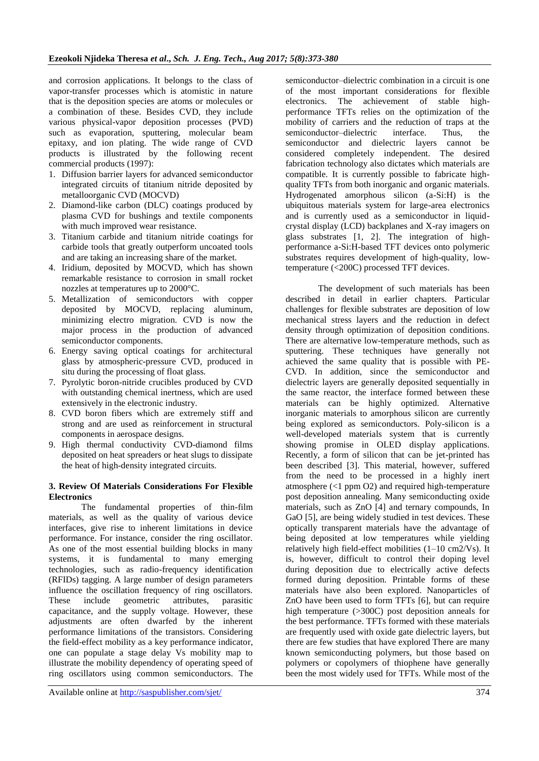and corrosion applications. It belongs to the class of vapor-transfer processes which is atomistic in nature that is the deposition species are atoms or molecules or a combination of these. Besides CVD, they include various physical-vapor deposition processes (PVD) such as evaporation, sputtering, molecular beam epitaxy, and ion plating. The wide range of CVD products is illustrated by the following recent commercial products (1997):

- 1. Diffusion barrier layers for advanced semiconductor integrated circuits of titanium nitride deposited by metalloorganic CVD (MOCVD)
- 2. Diamond-like carbon (DLC) coatings produced by plasma CVD for bushings and textile components with much improved wear resistance.
- 3. Titanium carbide and titanium nitride coatings for carbide tools that greatly outperform uncoated tools and are taking an increasing share of the market.
- 4. Iridium, deposited by MOCVD, which has shown remarkable resistance to corrosion in small rocket nozzles at temperatures up to 2000°C.
- 5. Metallization of semiconductors with copper deposited by MOCVD, replacing aluminum, minimizing electro migration. CVD is now the major process in the production of advanced semiconductor components.
- 6. Energy saving optical coatings for architectural glass by atmospheric-pressure CVD, produced in situ during the processing of float glass.
- 7. Pyrolytic boron-nitride crucibles produced by CVD with outstanding chemical inertness, which are used extensively in the electronic industry.
- 8. CVD boron fibers which are extremely stiff and strong and are used as reinforcement in structural components in aerospace designs.
- 9. High thermal conductivity CVD-diamond films deposited on heat spreaders or heat slugs to dissipate the heat of high-density integrated circuits.

# **3. Review Of Materials Considerations For Flexible Electronics**

The fundamental properties of thin-film materials, as well as the quality of various device interfaces, give rise to inherent limitations in device performance. For instance, consider the ring oscillator. As one of the most essential building blocks in many systems, it is fundamental to many emerging technologies, such as radio-frequency identification (RFIDs) tagging. A large number of design parameters influence the oscillation frequency of ring oscillators. These include geometric attributes, parasitic capacitance, and the supply voltage. However, these adjustments are often dwarfed by the inherent performance limitations of the transistors. Considering the field-effect mobility as a key performance indicator, one can populate a stage delay Vs mobility map to illustrate the mobility dependency of operating speed of ring oscillators using common semiconductors. The

semiconductor–dielectric combination in a circuit is one of the most important considerations for flexible electronics. The achievement of stable highperformance TFTs relies on the optimization of the mobility of carriers and the reduction of traps at the semiconductor–dielectric interface. Thus, the semiconductor and dielectric layers cannot be considered completely independent. The desired fabrication technology also dictates which materials are compatible. It is currently possible to fabricate highquality TFTs from both inorganic and organic materials. Hydrogenated amorphous silicon (a-Si:H) is the ubiquitous materials system for large-area electronics and is currently used as a semiconductor in liquidcrystal display (LCD) backplanes and X-ray imagers on glass substrates [1, 2]. The integration of highperformance a-Si:H-based TFT devices onto polymeric substrates requires development of high-quality, lowtemperature (<200C) processed TFT devices.

The development of such materials has been described in detail in earlier chapters. Particular challenges for flexible substrates are deposition of low mechanical stress layers and the reduction in defect density through optimization of deposition conditions. There are alternative low-temperature methods, such as sputtering. These techniques have generally not achieved the same quality that is possible with PE-CVD. In addition, since the semiconductor and dielectric layers are generally deposited sequentially in the same reactor, the interface formed between these materials can be highly optimized. Alternative inorganic materials to amorphous silicon are currently being explored as semiconductors. Poly-silicon is a well-developed materials system that is currently showing promise in OLED display applications. Recently, a form of silicon that can be jet-printed has been described [3]. This material, however, suffered from the need to be processed in a highly inert atmosphere (<1 ppm O2) and required high-temperature post deposition annealing. Many semiconducting oxide materials, such as ZnO [4] and ternary compounds, In GaO [5], are being widely studied in test devices. These optically transparent materials have the advantage of being deposited at low temperatures while yielding relatively high field-effect mobilities (1–10 cm2/Vs). It is, however, difficult to control their doping level during deposition due to electrically active defects formed during deposition. Printable forms of these materials have also been explored. Nanoparticles of ZnO have been used to form TFTs [6], but can require high temperature (>300C) post deposition anneals for the best performance. TFTs formed with these materials are frequently used with oxide gate dielectric layers, but there are few studies that have explored There are many known semiconducting polymers, but those based on polymers or copolymers of thiophene have generally been the most widely used for TFTs. While most of the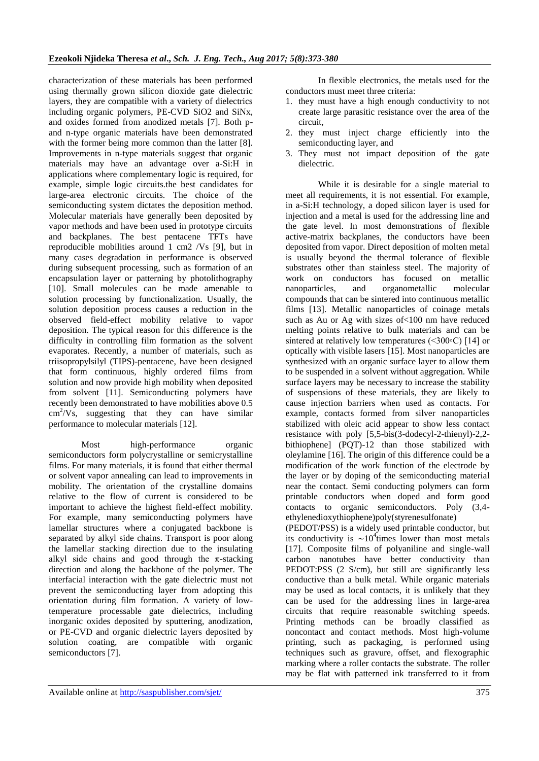characterization of these materials has been performed using thermally grown silicon dioxide gate dielectric layers, they are compatible with a variety of dielectrics including organic polymers, PE-CVD SiO2 and SiNx, and oxides formed from anodized metals [7]. Both pand n-type organic materials have been demonstrated with the former being more common than the latter [8]. Improvements in n-type materials suggest that organic materials may have an advantage over a-Si:H in applications where complementary logic is required, for example, simple logic circuits.the best candidates for large-area electronic circuits. The choice of the semiconducting system dictates the deposition method. Molecular materials have generally been deposited by vapor methods and have been used in prototype circuits and backplanes. The best pentacene TFTs have reproducible mobilities around 1 cm2 /Vs [9], but in many cases degradation in performance is observed during subsequent processing, such as formation of an encapsulation layer or patterning by photolithography [10]. Small molecules can be made amenable to solution processing by functionalization. Usually, the solution deposition process causes a reduction in the observed field-effect mobility relative to vapor deposition. The typical reason for this difference is the difficulty in controlling film formation as the solvent evaporates. Recently, a number of materials, such as triisopropylsilyl (TIPS)-pentacene, have been designed that form continuous, highly ordered films from solution and now provide high mobility when deposited from solvent [11]. Semiconducting polymers have recently been demonstrated to have mobilities above 0.5  $\text{cm}^2/\text{Vs}$ , suggesting that they can have similar performance to molecular materials [12].

Most high-performance organic semiconductors form polycrystalline or semicrystalline films. For many materials, it is found that either thermal or solvent vapor annealing can lead to improvements in mobility. The orientation of the crystalline domains relative to the flow of current is considered to be important to achieve the highest field-effect mobility. For example, many semiconducting polymers have lamellar structures where a conjugated backbone is separated by alkyl side chains. Transport is poor along the lamellar stacking direction due to the insulating alkyl side chains and good through the  $\pi$ -stacking direction and along the backbone of the polymer. The interfacial interaction with the gate dielectric must not prevent the semiconducting layer from adopting this orientation during film formation. A variety of lowtemperature processable gate dielectrics, including inorganic oxides deposited by sputtering, anodization, or PE-CVD and organic dielectric layers deposited by solution coating, are compatible with organic semiconductors [7].

In flexible electronics, the metals used for the conductors must meet three criteria:

- 1. they must have a high enough conductivity to not create large parasitic resistance over the area of the circuit,
- 2. they must inject charge efficiently into the semiconducting layer, and
- 3. They must not impact deposition of the gate dielectric.

While it is desirable for a single material to meet all requirements, it is not essential. For example, in a-Si:H technology, a doped silicon layer is used for injection and a metal is used for the addressing line and the gate level. In most demonstrations of flexible active-matrix backplanes, the conductors have been deposited from vapor. Direct deposition of molten metal is usually beyond the thermal tolerance of flexible substrates other than stainless steel. The majority of work on conductors has focused on metallic nanoparticles, and organometallic molecular compounds that can be sintered into continuous metallic films [13]. Metallic nanoparticles of coinage metals such as Au or Ag with sizes of<100 nm have reduced melting points relative to bulk materials and can be sintered at relatively low temperatures (<300◦C) [14] or optically with visible lasers [15]. Most nanoparticles are synthesized with an organic surface layer to allow them to be suspended in a solvent without aggregation. While surface layers may be necessary to increase the stability of suspensions of these materials, they are likely to cause injection barriers when used as contacts. For example, contacts formed from silver nanoparticles stabilized with oleic acid appear to show less contact resistance with poly [5,5-bis(3-dodecyl-2-thienyl)-2,2 bithiophene] (PQT)-12 than those stabilized with oleylamine [16]. The origin of this difference could be a modification of the work function of the electrode by the layer or by doping of the semiconducting material near the contact. Semi conducting polymers can form printable conductors when doped and form good contacts to organic semiconductors. Poly (3,4 ethylenedioxythiophene)poly(styrenesulfonate)

(PEDOT/PSS) is a widely used printable conductor, but its conductivity is  $\sim 10^4$  times lower than most metals [17]. Composite films of polyaniline and single-wall carbon nanotubes have better conductivity than PEDOT:PSS (2 S/cm), but still are significantly less conductive than a bulk metal. While organic materials may be used as local contacts, it is unlikely that they can be used for the addressing lines in large-area circuits that require reasonable switching speeds. Printing methods can be broadly classified as noncontact and contact methods. Most high-volume printing, such as packaging, is performed using techniques such as gravure, offset, and flexographic marking where a roller contacts the substrate. The roller may be flat with patterned ink transferred to it from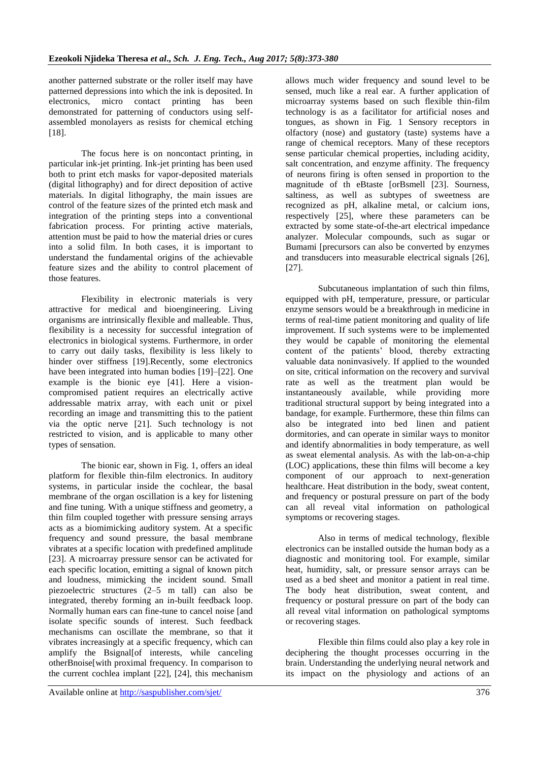another patterned substrate or the roller itself may have patterned depressions into which the ink is deposited. In electronics, micro contact printing has been demonstrated for patterning of conductors using selfassembled monolayers as resists for chemical etching [18].

The focus here is on noncontact printing, in particular ink-jet printing. Ink-jet printing has been used both to print etch masks for vapor-deposited materials (digital lithography) and for direct deposition of active materials. In digital lithography, the main issues are control of the feature sizes of the printed etch mask and integration of the printing steps into a conventional fabrication process. For printing active materials, attention must be paid to how the material dries or cures into a solid film. In both cases, it is important to understand the fundamental origins of the achievable feature sizes and the ability to control placement of those features.

Flexibility in electronic materials is very attractive for medical and bioengineering. Living organisms are intrinsically flexible and malleable. Thus, flexibility is a necessity for successful integration of electronics in biological systems. Furthermore, in order to carry out daily tasks, flexibility is less likely to hinder over stiffness [19].Recently, some electronics have been integrated into human bodies [19]–[22]. One example is the bionic eye [41]. Here a visioncompromised patient requires an electrically active addressable matrix array, with each unit or pixel recording an image and transmitting this to the patient via the optic nerve [21]. Such technology is not restricted to vision, and is applicable to many other types of sensation.

The bionic ear, shown in Fig. 1, offers an ideal platform for flexible thin-film electronics. In auditory systems, in particular inside the cochlear, the basal membrane of the organ oscillation is a key for listening and fine tuning. With a unique stiffness and geometry, a thin film coupled together with pressure sensing arrays acts as a biomimicking auditory system. At a specific frequency and sound pressure, the basal membrane vibrates at a specific location with predefined amplitude [23]. A microarray pressure sensor can be activated for each specific location, emitting a signal of known pitch and loudness, mimicking the incident sound. Small piezoelectric structures (2–5 m tall) can also be integrated, thereby forming an in-built feedback loop. Normally human ears can fine-tune to cancel noise [and isolate specific sounds of interest. Such feedback mechanisms can oscillate the membrane, so that it vibrates increasingly at a specific frequency, which can amplify the Bsignal[of interests, while canceling otherBnoise[with proximal frequency. In comparison to the current cochlea implant [22], [24], this mechanism

allows much wider frequency and sound level to be sensed, much like a real ear. A further application of microarray systems based on such flexible thin-film technology is as a facilitator for artificial noses and tongues, as shown in Fig. 1 Sensory receptors in olfactory (nose) and gustatory (taste) systems have a range of chemical receptors. Many of these receptors sense particular chemical properties, including acidity, salt concentration, and enzyme affinity. The frequency of neurons firing is often sensed in proportion to the magnitude of th eBtaste [orBsmell [23]. Sourness, saltiness, as well as subtypes of sweetness are recognized as pH, alkaline metal, or calcium ions, respectively [25], where these parameters can be extracted by some state-of-the-art electrical impedance analyzer. Molecular compounds, such as sugar or Bumami [precursors can also be converted by enzymes and transducers into measurable electrical signals [26], [27].

Subcutaneous implantation of such thin films, equipped with pH, temperature, pressure, or particular enzyme sensors would be a breakthrough in medicine in terms of real-time patient monitoring and quality of life improvement. If such systems were to be implemented they would be capable of monitoring the elemental content of the patients' blood, thereby extracting valuable data noninvasively. If applied to the wounded on site, critical information on the recovery and survival rate as well as the treatment plan would be instantaneously available, while providing more traditional structural support by being integrated into a bandage, for example. Furthermore, these thin films can also be integrated into bed linen and patient dormitories, and can operate in similar ways to monitor and identify abnormalities in body temperature, as well as sweat elemental analysis. As with the lab-on-a-chip (LOC) applications, these thin films will become a key component of our approach to next-generation healthcare. Heat distribution in the body, sweat content, and frequency or postural pressure on part of the body can all reveal vital information on pathological symptoms or recovering stages.

Also in terms of medical technology, flexible electronics can be installed outside the human body as a diagnostic and monitoring tool. For example, similar heat, humidity, salt, or pressure sensor arrays can be used as a bed sheet and monitor a patient in real time. The body heat distribution, sweat content, and frequency or postural pressure on part of the body can all reveal vital information on pathological symptoms or recovering stages.

Flexible thin films could also play a key role in deciphering the thought processes occurring in the brain. Understanding the underlying neural network and its impact on the physiology and actions of an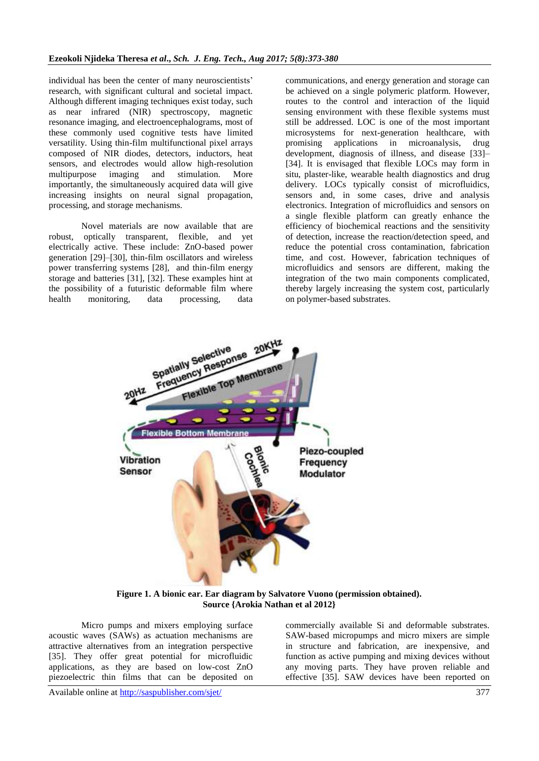individual has been the center of many neuroscientists' research, with significant cultural and societal impact. Although different imaging techniques exist today, such as near infrared (NIR) spectroscopy, magnetic resonance imaging, and electroencephalograms, most of these commonly used cognitive tests have limited versatility. Using thin-film multifunctional pixel arrays composed of NIR diodes, detectors, inductors, heat sensors, and electrodes would allow high-resolution<br>multipurpose imaging and stimulation. More multipurpose imaging and stimulation. More importantly, the simultaneously acquired data will give increasing insights on neural signal propagation, processing, and storage mechanisms.

Novel materials are now available that are robust, optically transparent, flexible, and yet electrically active. These include: ZnO-based power generation [29]–[30], thin-film oscillators and wireless power transferring systems [28], and thin-film energy storage and batteries [31], [32]. These examples hint at the possibility of a futuristic deformable film where health monitoring, data processing, data communications, and energy generation and storage can be achieved on a single polymeric platform. However, routes to the control and interaction of the liquid sensing environment with these flexible systems must still be addressed. LOC is one of the most important microsystems for next-generation healthcare, with promising applications in microanalysis, drug development, diagnosis of illness, and disease [33]– [34]. It is envisaged that flexible LOCs may form in situ, plaster-like, wearable health diagnostics and drug delivery. LOCs typically consist of microfluidics, sensors and, in some cases, drive and analysis electronics. Integration of microfluidics and sensors on a single flexible platform can greatly enhance the efficiency of biochemical reactions and the sensitivity of detection, increase the reaction/detection speed, and reduce the potential cross contamination, fabrication time, and cost. However, fabrication techniques of microfluidics and sensors are different, making the integration of the two main components complicated, thereby largely increasing the system cost, particularly on polymer-based substrates.



**Figure 1. A bionic ear. Ear diagram by Salvatore Vuono (permission obtained). Source {Arokia Nathan et al 2012}**

Micro pumps and mixers employing surface acoustic waves (SAWs) as actuation mechanisms are attractive alternatives from an integration perspective [35]. They offer great potential for microfluidic applications, as they are based on low-cost ZnO piezoelectric thin films that can be deposited on commercially available Si and deformable substrates. SAW-based micropumps and micro mixers are simple in structure and fabrication, are inexpensive, and function as active pumping and mixing devices without any moving parts. They have proven reliable and effective [35]. SAW devices have been reported on

Available online at<http://saspublisher.com/sjet/> 377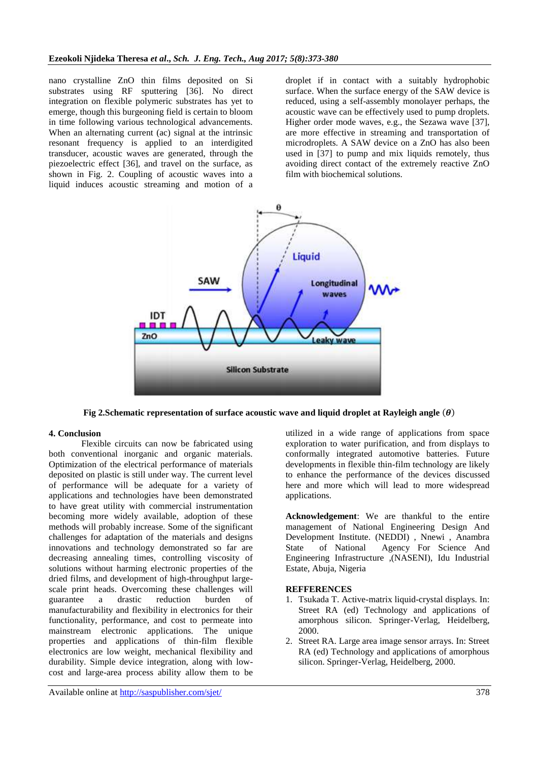nano crystalline ZnO thin films deposited on Si substrates using RF sputtering [36]. No direct integration on flexible polymeric substrates has yet to emerge, though this burgeoning field is certain to bloom in time following various technological advancements. When an alternating current (ac) signal at the intrinsic resonant frequency is applied to an interdigited transducer, acoustic waves are generated, through the piezoelectric effect [36], and travel on the surface, as shown in Fig. 2. Coupling of acoustic waves into a liquid induces acoustic streaming and motion of a

droplet if in contact with a suitably hydrophobic surface. When the surface energy of the SAW device is reduced, using a self-assembly monolayer perhaps, the acoustic wave can be effectively used to pump droplets. Higher order mode waves, e.g., the Sezawa wave [37], are more effective in streaming and transportation of microdroplets. A SAW device on a ZnO has also been used in [37] to pump and mix liquids remotely, thus avoiding direct contact of the extremely reactive ZnO film with biochemical solutions.



**Fig 2. Schematic representation of surface acoustic wave and liquid droplet at Rayleigh angle**  $(\theta)$ 

#### **4. Conclusion**

Flexible circuits can now be fabricated using both conventional inorganic and organic materials. Optimization of the electrical performance of materials deposited on plastic is still under way. The current level of performance will be adequate for a variety of applications and technologies have been demonstrated to have great utility with commercial instrumentation becoming more widely available, adoption of these methods will probably increase. Some of the significant challenges for adaptation of the materials and designs innovations and technology demonstrated so far are decreasing annealing times, controlling viscosity of solutions without harming electronic properties of the dried films, and development of high-throughput largescale print heads. Overcoming these challenges will guarantee a drastic reduction burden of manufacturability and flexibility in electronics for their functionality, performance, and cost to permeate into mainstream electronic applications. The unique properties and applications of thin-film flexible electronics are low weight, mechanical flexibility and durability. Simple device integration, along with lowcost and large-area process ability allow them to be

utilized in a wide range of applications from space exploration to water purification, and from displays to conformally integrated automotive batteries. Future developments in flexible thin-film technology are likely to enhance the performance of the devices discussed here and more which will lead to more widespread applications.

**Acknowledgement**: We are thankful to the entire management of National Engineering Design And Development Institute. (NEDDI) , Nnewi , Anambra State of National Agency For Science And Engineering Infrastructure ,(NASENI), Idu Industrial Estate, Abuja, Nigeria

### **REFFERENCES**

- 1. Tsukada T. Active-matrix liquid-crystal displays. In: Street RA (ed) Technology and applications of amorphous silicon. Springer-Verlag, Heidelberg, 2000.
- 2. Street RA. Large area image sensor arrays. In: Street RA (ed) Technology and applications of amorphous silicon. Springer-Verlag, Heidelberg, 2000.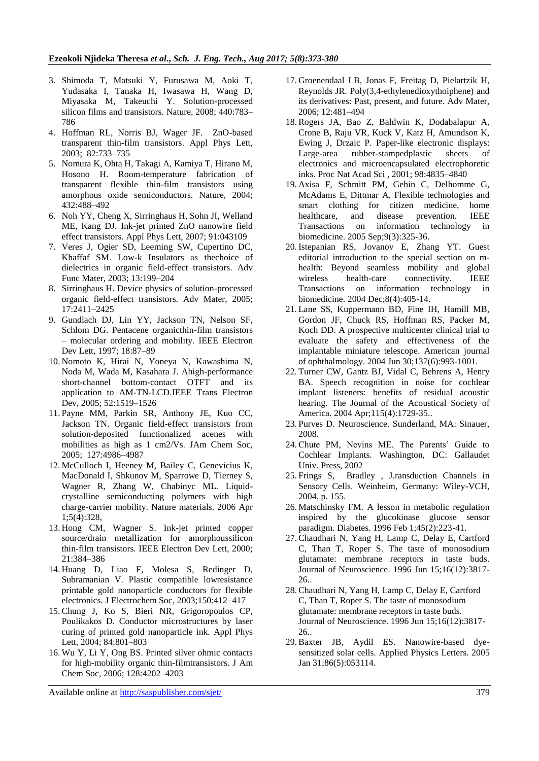- 3. Shimoda T, Matsuki Y, Furusawa M, Aoki T, Yudasaka I, Tanaka H, Iwasawa H, Wang D, Miyasaka M, Takeuchi Y. Solution-processed silicon films and transistors. Nature, 2008; 440:783– 786
- 4. Hoffman RL, Norris BJ, Wager JF. ZnO-based transparent thin-film transistors. Appl Phys Lett, 2003; 82:733–735
- 5. Nomura K, Ohta H, Takagi A, Kamiya T, Hirano M, Hosono H. Room-temperature fabrication of transparent flexible thin-film transistors using amorphous oxide semiconductors. Nature, 2004; 432:488–492
- 6. Noh YY, Cheng X, Sirringhaus H, Sohn JI, Welland ME, Kang DJ. Ink-jet printed ZnO nanowire field effect transistors. Appl Phys Lett, 2007; 91:043109
- 7. Veres J, Ogier SD, Leeming SW, Cupertino DC, Khaffaf SM. Low-k Insulators as thechoice of dielectrics in organic field-effect transistors. Adv Func Mater, 2003; 13:199–204
- 8. Sirringhaus H. Device physics of solution-processed organic field-effect transistors. Adv Mater, 2005; 17:2411–2425
- 9. Gundlach DJ, Lin YY, Jackson TN, Nelson SF, Schlom DG. Pentacene organicthin-film transistors – molecular ordering and mobility. IEEE Electron Dev Lett, 1997; 18:87–89
- 10. Nomoto K, Hirai N, Yoneya N, Kawashima N, Noda M, Wada M, Kasahara J. Ahigh-performance short-channel bottom-contact OTFT and its application to AM-TN-LCD.IEEE Trans Electron Dev, 2005; 52:1519–1526
- 11. Payne MM, Parkin SR, Anthony JE, Kuo CC, Jackson TN. Organic field-effect transistors from solution-deposited functionalized acenes with mobilities as high as 1 cm2/Vs. JAm Chem Soc, 2005; 127:4986–4987
- 12. McCulloch I, Heeney M, Bailey C, Genevicius K, MacDonald I, Shkunov M, Sparrowe D, Tierney S, Wagner R, Zhang W, Chabinyc ML. Liquidcrystalline semiconducting polymers with high charge-carrier mobility. Nature materials. 2006 Apr 1;5(4):328,
- 13. Hong CM, Wagner S. Ink-jet printed copper source/drain metallization for amorphoussilicon thin-film transistors. IEEE Electron Dev Lett, 2000; 21:384–386
- 14. Huang D, Liao F, Molesa S, Redinger D, Subramanian V. Plastic compatible lowresistance printable gold nanoparticle conductors for flexible electronics. J Electrochem Soc, 2003;150:412–417
- 15.Chung J, Ko S, Bieri NR, Grigoropoulos CP, Poulikakos D. Conductor microstructures by laser curing of printed gold nanoparticle ink. Appl Phys Lett, 2004; 84:801–803
- 16. Wu Y, Li Y, Ong BS. Printed silver ohmic contacts for high-mobility organic thin-filmtransistors. J Am Chem Soc, 2006; 128:4202–4203

Available online at<http://saspublisher.com/sjet/> 379

- 17. Groenendaal LB, Jonas F, Freitag D, Pielartzik H, Reynolds JR. Poly(3,4-ethylenedioxythoiphene) and its derivatives: Past, present, and future. Adv Mater, 2006; 12:481–494
- 18.Rogers JA, Bao Z, Baldwin K, Dodabalapur A, Crone B, Raju VR, Kuck V, Katz H, Amundson K, Ewing J, Drzaic P. Paper-like electronic displays: Large-area rubber-stampedplastic sheets of electronics and microencapsulated electrophoretic inks. Proc Nat Acad Sci , 2001; 98:4835–4840
- 19. Axisa F, Schmitt PM, Gehin C, Delhomme G, McAdams E, Dittmar A. Flexible technologies and smart clothing for citizen medicine, home healthcare, and disease prevention. IEEE Transactions on information technology in biomedicine. 2005 Sep;9(3):325-36.
- 20.Istepanian RS, Jovanov E, Zhang YT. Guest editorial introduction to the special section on mhealth: Beyond seamless mobility and global wireless health-care connectivity. IEEE Transactions on information technology in biomedicine. 2004 Dec;8(4):405-14.
- 21. Lane SS, Kuppermann BD, Fine IH, Hamill MB, Gordon JF, Chuck RS, Hoffman RS, Packer M, Koch DD. A prospective multicenter clinical trial to evaluate the safety and effectiveness of the implantable miniature telescope. American journal of ophthalmology. 2004 Jun 30;137(6):993-1001.
- 22. Turner CW, Gantz BJ, Vidal C, Behrens A, Henry BA. Speech recognition in noise for cochlear implant listeners: benefits of residual acoustic hearing. The Journal of the Acoustical Society of America. 2004 Apr;115(4):1729-35..
- 23. Purves D. Neuroscience. Sunderland, MA: Sinauer, 2008.
- 24.Chute PM, Nevins ME. The Parents' Guide to Cochlear Implants. Washington, DC: Gallaudet Univ. Press, 2002
- 25. Frings S, Bradley , J.ransduction Channels in Sensory Cells. Weinheim, Germany: Wiley-VCH, 2004, p. 155.
- 26. Matschinsky FM. A lesson in metabolic regulation inspired by the glucokinase glucose sensor paradigm. Diabetes. 1996 Feb 1;45(2):223-41.
- 27.Chaudhari N, Yang H, Lamp C, Delay E, Cartford C, Than T, Roper S. The taste of monosodium glutamate: membrane receptors in taste buds. Journal of Neuroscience. 1996 Jun 15;16(12):3817- 26..
- 28.Chaudhari N, Yang H, Lamp C, Delay E, Cartford C, Than T, Roper S. The taste of monosodium glutamate: membrane receptors in taste buds. Journal of Neuroscience. 1996 Jun 15;16(12):3817- 26..
- 29.Baxter JB, Aydil ES. Nanowire-based dyesensitized solar cells. Applied Physics Letters. 2005 Jan 31;86(5):053114.